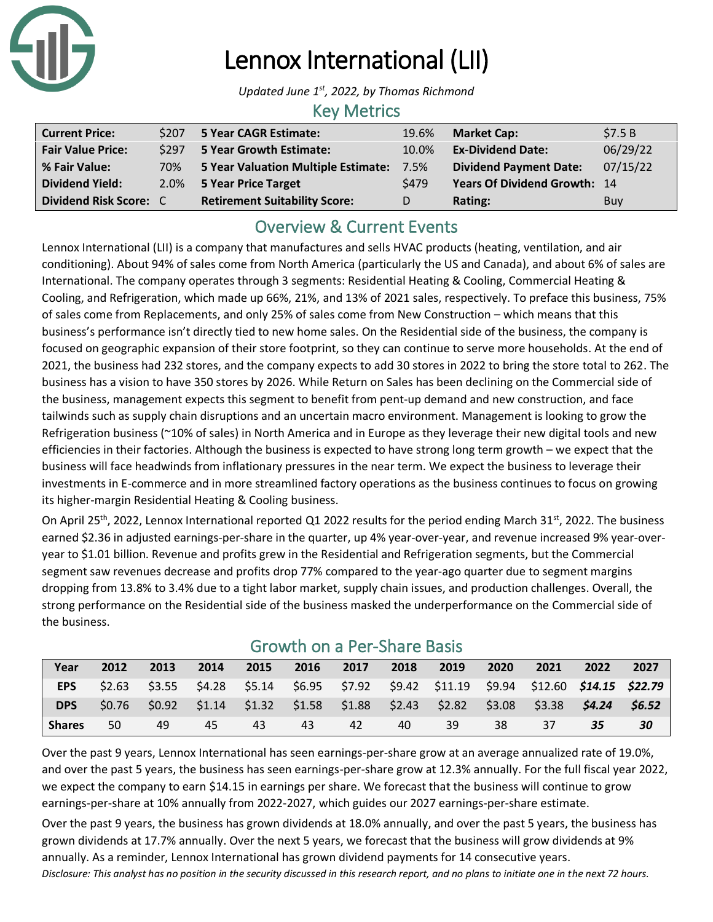

# Lennox International (LII)

*Updated June 1 st , 2022, by Thomas Richmond*

### Key Metrics

| <b>Current Price:</b>    | \$207 | 5 Year CAGR Estimate:                | 19.6% | <b>Market Cap:</b>            | \$7.5B   |
|--------------------------|-------|--------------------------------------|-------|-------------------------------|----------|
| <b>Fair Value Price:</b> | \$297 | 5 Year Growth Estimate:              | 10.0% | <b>Ex-Dividend Date:</b>      | 06/29/22 |
| % Fair Value:            | 70%   | 5 Year Valuation Multiple Estimate:  | 7.5%  | <b>Dividend Payment Date:</b> | 07/15/22 |
| <b>Dividend Yield:</b>   | 2.0%  | 5 Year Price Target                  | \$479 | Years Of Dividend Growth: 14  |          |
| Dividend Risk Score: C   |       | <b>Retirement Suitability Score:</b> | D.    | Rating:                       | Buy      |

### Overview & Current Events

Lennox International (LII) is a company that manufactures and sells HVAC products (heating, ventilation, and air conditioning). About 94% of sales come from North America (particularly the US and Canada), and about 6% of sales are International. The company operates through 3 segments: Residential Heating & Cooling, Commercial Heating & Cooling, and Refrigeration, which made up 66%, 21%, and 13% of 2021 sales, respectively. To preface this business, 75% of sales come from Replacements, and only 25% of sales come from New Construction – which means that this business's performance isn't directly tied to new home sales. On the Residential side of the business, the company is focused on geographic expansion of their store footprint, so they can continue to serve more households. At the end of 2021, the business had 232 stores, and the company expects to add 30 stores in 2022 to bring the store total to 262. The business has a vision to have 350 stores by 2026. While Return on Sales has been declining on the Commercial side of the business, management expects this segment to benefit from pent-up demand and new construction, and face tailwinds such as supply chain disruptions and an uncertain macro environment. Management is looking to grow the Refrigeration business (~10% of sales) in North America and in Europe as they leverage their new digital tools and new efficiencies in their factories. Although the business is expected to have strong long term growth – we expect that the business will face headwinds from inflationary pressures in the near term. We expect the business to leverage their investments in E-commerce and in more streamlined factory operations as the business continues to focus on growing its higher-margin Residential Heating & Cooling business.

On April 25<sup>th</sup>, 2022, Lennox International reported Q1 2022 results for the period ending March 31<sup>st</sup>, 2022. The business earned \$2.36 in adjusted earnings-per-share in the quarter, up 4% year-over-year, and revenue increased 9% year-overyear to \$1.01 billion. Revenue and profits grew in the Residential and Refrigeration segments, but the Commercial segment saw revenues decrease and profits drop 77% compared to the year-ago quarter due to segment margins dropping from 13.8% to 3.4% due to a tight labor market, supply chain issues, and production challenges. Overall, the strong performance on the Residential side of the business masked the underperformance on the Commercial side of the business.

| Year          | 2012   | 2013 | 2014 | 2015 | 2016 | 2017 | 2018 | 2019                                                                                           | 2020 | 2021 | 2022 | 2027 |
|---------------|--------|------|------|------|------|------|------|------------------------------------------------------------------------------------------------|------|------|------|------|
| <b>EPS</b>    |        |      |      |      |      |      |      | \$2.63 \$3.55 \$4.28 \$5.14 \$6.95 \$7.92 \$9.42 \$11.19 \$9.94 \$12.60 <b>\$14.15 \$22.79</b> |      |      |      |      |
| <b>DPS</b>    | \$0.76 |      |      |      |      |      |      | $$0.92$ $$1.14$ $$1.32$ $$1.58$ $$1.88$ $$2.43$ $$2.82$ $$3.08$ $$3.38$ $$4.24$ $$6.52$        |      |      |      |      |
| <b>Shares</b> | 50     | 49   | 45   | 43   | 43   | 42   | 40   | 39                                                                                             | 38   | 37   | 35   | 30   |

### Growth on a Per-Share Basis

Over the past 9 years, Lennox International has seen earnings-per-share grow at an average annualized rate of 19.0%, and over the past 5 years, the business has seen earnings-per-share grow at 12.3% annually. For the full fiscal year 2022, we expect the company to earn \$14.15 in earnings per share. We forecast that the business will continue to grow earnings-per-share at 10% annually from 2022-2027, which guides our 2027 earnings-per-share estimate.

*Disclosure: This analyst has no position in the security discussed in this research report, and no plans to initiate one in the next 72 hours.* Over the past 9 years, the business has grown dividends at 18.0% annually, and over the past 5 years, the business has grown dividends at 17.7% annually. Over the next 5 years, we forecast that the business will grow dividends at 9% annually. As a reminder, Lennox International has grown dividend payments for 14 consecutive years.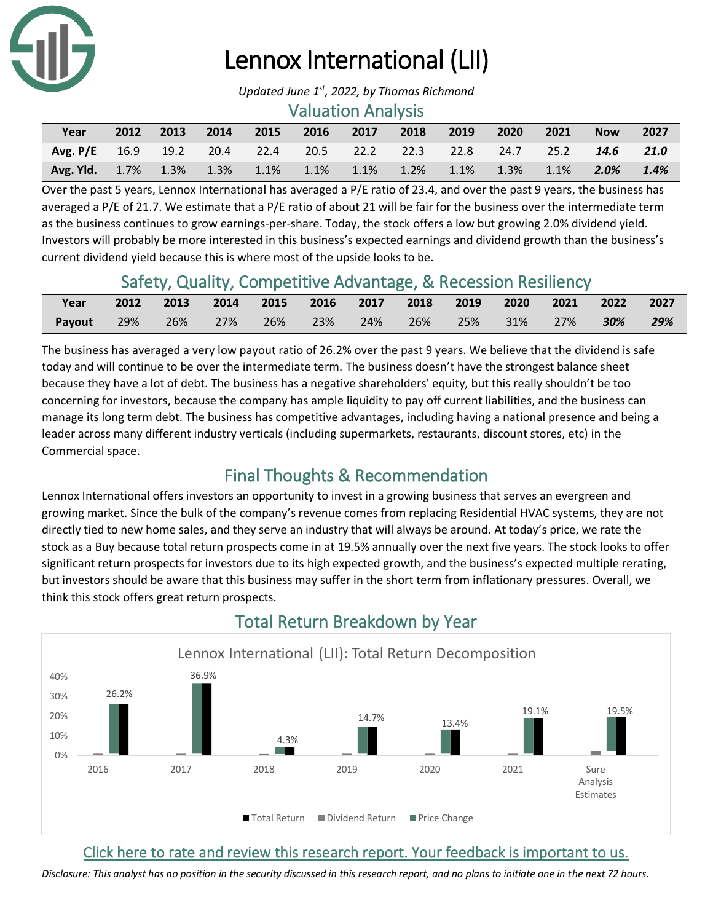

# Lennox International (LII)

*Updated June 1 st , 2022, by Thomas Richmond*

### Valuation Analysis

| Year                                                                         | 2012 | 2013 | $\sim$ 2014 | 2015 2016 2017 2018 2019 |  | $\sim$ 2020 | 2021 | <b>Now</b> | -2027 |
|------------------------------------------------------------------------------|------|------|-------------|--------------------------|--|-------------|------|------------|-------|
| Avg. P/E 16.9 19.2 20.4 22.4 20.5 22.2 22.3 22.8 24.7 25.2 14.6 21.0         |      |      |             |                          |  |             |      |            |       |
| <b>Avg. Yld.</b> 1.7% 1.3% 1.3% 1.1% 1.1% 1.1% 1.2% 1.1% 1.3% 1.1% 2.0% 1.4% |      |      |             |                          |  |             |      |            |       |

Over the past 5 years, Lennox International has averaged a P/E ratio of 23.4, and over the past 9 years, the business has averaged a P/E of 21.7. We estimate that a P/E ratio of about 21 will be fair for the business over the intermediate term as the business continues to grow earnings-per-share. Today, the stock offers a low but growing 2.0% dividend yield. Investors will probably be more interested in this business's expected earnings and dividend growth than the business's current dividend yield because this is where most of the upside looks to be.

### Safety, Quality, Competitive Advantage, & Recession Resiliency

| Year       | 2012 | 2013 2014 2015 2016 2017 2018 2019 2020 2021 2022 2027 |  |  |  |  |        |
|------------|------|--------------------------------------------------------|--|--|--|--|--------|
| Payout 29% |      | 26% 27% 26% 23% 24% 26% 25% 31% 27% <b>30%</b>         |  |  |  |  | $29\%$ |

The business has averaged a very low payout ratio of 26.2% over the past 9 years. We believe that the dividend is safe today and will continue to be over the intermediate term. The business doesn't have the strongest balance sheet because they have a lot of debt. The business has a negative shareholders' equity, but this really shouldn't be too concerning for investors, because the company has ample liquidity to pay off current liabilities, and the business can manage its long term debt. The business has competitive advantages, including having a national presence and being a leader across many different industry verticals (including supermarkets, restaurants, discount stores, etc) in the Commercial space.

### Final Thoughts & Recommendation

Lennox International offers investors an opportunity to invest in a growing business that serves an evergreen and growing market. Since the bulk of the company's revenue comes from replacing Residential HVAC systems, they are not directly tied to new home sales, and they serve an industry that will always be around. At today's price, we rate the stock as a Buy because total return prospects come in at 19.5% annually over the next five years. The stock looks to offer significant return prospects for investors due to its high expected growth, and the business's expected multiple rerating, but investors should be aware that this business may suffer in the short term from inflationary pressures. Overall, we think this stock offers great return prospects.



## Total Return Breakdown by Year

### [Click here to rate and review this research report. Your feedback is important to us.](https://suredividend.typeform.com/to/S0SIkB)

*Disclosure: This analyst has no position in the security discussed in this research report, and no plans to initiate one in the next 72 hours.*